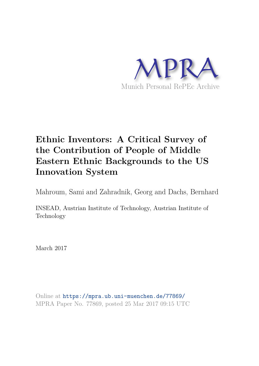

# **Ethnic Inventors: A Critical Survey of the Contribution of People of Middle Eastern Ethnic Backgrounds to the US Innovation System**

Mahroum, Sami and Zahradnik, Georg and Dachs, Bernhard

INSEAD, Austrian Institute of Technology, Austrian Institute of Technology

March 2017

Online at https://mpra.ub.uni-muenchen.de/77869/ MPRA Paper No. 77869, posted 25 Mar 2017 09:15 UTC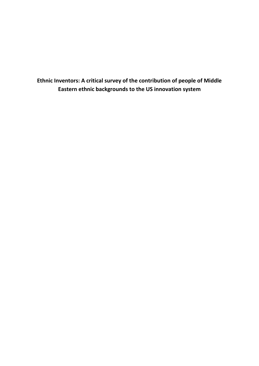**Ethnic Inventors: A critical survey of the contribution of people of Middle Eastern ethnic backgrounds to the US innovation system**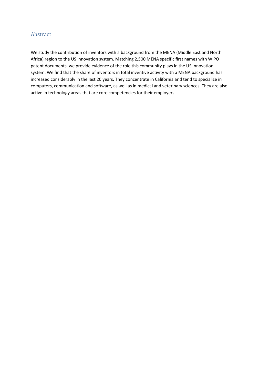# Abstract

We study the contribution of inventors with a background from the MENA (Middle East and North Africa) region to the US innovation system. Matching 2,500 MENA specific first names with WIPO patent documents, we provide evidence of the role this community plays in the US innovation system. We find that the share of inventors in total inventive activity with a MENA background has increased considerably in the last 20 years. They concentrate in California and tend to specialize in computers, communication and software, as well as in medical and veterinary sciences. They are also active in technology areas that are core competencies for their employers.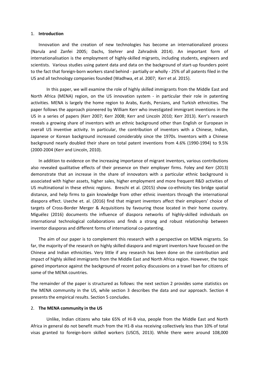## 1. **Introduction**

Innovation and the creation of new technologies has become an internationalized process (Narula and Zanfei 2005; Dachs, Stehrer and Zahradnik 2014). An important form of internationalisation is the employment of highly-skilled migrants, including students, engineers and scientists. Various studies using patent data and data on the background of start-up founders point to the fact that foreign-born workers stand behind - partially or wholly - 25% of all patents filed in the US and all technology companies founded (Wadhwa, et al. 2007; Kerr et al. 2015).

In this paper, we will examine the role of highly skilled immigrants from the Middle East and North Africa (MENA) region, on the US innovation system - in particular their role in patenting activities. MENA is largely the home region to Arabs, Kurds, Persians, and Turkish ethnicities. The paper follows the approach pioneered by William Kerr who investigated immigrant inventions in the US in a series of papers (Kerr 2007; Kerr 2008; Kerr and Lincoln 2010; Kerr 2013). Kerr's research reveals a growing share of inventors with an ethnic background other than English or European in overall US inventive activity. In particular, the contribution of inventors with a Chinese, Indian, Japanese or Korean background increased considerably since the 1970s. Inventors with a Chinese background nearly doubled their share on total patent inventions from 4.6% (1990-1994) to 9.5% (2000-2004 (Kerr and Lincoln, 2010).

In addition to evidence on the increasing importance of migrant inventors, various contributions also revealed qualitative effects of their presence on their employer firms. Foley and Kerr (2013) demonstrate that an increase in the share of innovators with a particular ethnic background is associated with higher assets, higher sales, higher employment and more frequent R&D activities of US multinational in these ethnic regions. Breschi et al. (2015) show co-ethnicity ties bridge spatial distance, and help firms to gain knowledge from other ethnic inventors through the international diaspora effect. Useche et. al. (2016) find that migrant inventors affect their employers' choice of targets of Cross-Border Merger & Acquisitions by favouring those located in their home country. Miguélez (2016) documents the influence of diaspora networks of highly-skilled individuals on international technological collaborations and finds a strong and robust relationship between inventor diasporas and different forms of international co-patenting.

The aim of our paper is to complement this research with a perspective on MENA migrants. So far, the majority of the research on highly skilled diaspora and migrant inventors have focused on the Chinese and Indian ethnicities. Very little if any research has been done on the contribution and impact of highly skilled immigrants from the Middle East and North Africa region. However, the topic gained importance against the background of recent policy discussions on a travel ban for citizens of some of the MENA countries.

The remainder of the paper is structured as follows: the next section 2 provides some statistics on the MENA community in the US, while section 3 describes the data and our approach. Section 4 presents the empirical results. Section 5 concludes.

#### 2. **The MENA community in the US**

Unlike, Indian citizens who take 65% of Hi-B visa, people from the Middle East and North Africa in general do not benefit much from the H1-B visa receiving collectively less than 10% of total visas granted to foreign-born skilled workers (USCIS, 2013). While there were around 108,000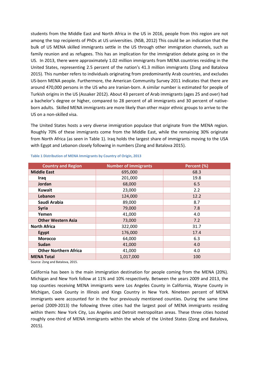students from the Middle East and North Africa in the US in 2016, people from this region are not among the top recipients of PhDs at US universities. (NSB, 2012) This could be an indication that the bulk of US MENA skilled immigrants settle in the US through other immigration channels, such as family reunion and as refugees. This has an implication for the immigration debate going on in the US. In 2013, there were approximately 1.02 million immigrants from MENA countries residing in the United States, representing 2.5 percent of the nation's 41.3 million immigrants (Zong and Batalova 2015). This number refers to individuals originating from predominantly Arab countries, and excludes US-born MENA people. Furthermore, the American Community Survey 2011 indicates that there are around 470,000 persons in the US who are Iranian-born. A similar number is estimated for people of Turkish origins in the US (Assaker 2012). About 43 percent of Arab immigrants (ages 25 and over) had a bachelor's degree or higher, compared to 28 percent of all immigrants and 30 percent of nativeborn adults. Skilled MENA immigrants are more likely than other major ethnic groups to arrive to the US on a non-skilled visa.

The United States hosts a very diverse immigration populace that originate from the MENA region. Roughly 70% of these immigrants come from the Middle East, while the remaining 30% originate from North Africa (as seen in Table 1). Iraq holds the largest share of immigrants moving to the USA with Egypt and Lebanon closely following in numbers (Zong and Batalova 2015).

| <b>Country and Region</b>    | <b>Number of Immigrants</b> | Percent (%) |
|------------------------------|-----------------------------|-------------|
| <b>Middle East</b>           | 695,000                     | 68.3        |
| Iraq                         | 201,000                     | 19.8        |
| Jordan                       | 68,000                      | 6.5         |
| <b>Kuwait</b>                | 23,000                      | 2.2         |
| Lebanon                      | 124,000                     | 12.2        |
| Saudi Arabia                 | 89,000                      | 8.7         |
| <b>Syria</b>                 | 79,000                      | 7.8         |
| Yemen                        | 41,000                      | 4.0         |
| <b>Other Western Asia</b>    | 73,000                      | 7.2         |
| <b>North Africa</b>          | 322,000                     | 31.7        |
| Egypt                        | 176,000                     | 17.4        |
| <b>Morocco</b>               | 64,000                      | 6.3         |
| Sudan                        | 41,000                      | 4.0         |
| <b>Other Northern Africa</b> | 41,000                      | 4.0         |
| <b>MENA Total</b>            | 1,017,000                   | 100         |

#### **Table 1 Distribution of MENA Immigrants by Country of Origin, 2013**

Source: Zong and Batalova, 2015.

California has been is the main immigration destination for people coming from the MENA (20%). Michigan and New York follow at 11% and 10% respectively. Between the years 2009 and 2013, the top counties receiving MENA immigrants were Los Angeles County in California, Wayne County in Michigan, Cook County in Illinois and Kings Country in New York. Nineteen percent of MENA immigrants were accounted for in the four previously mentioned counties. During the same time period (2009-2013) the following three cities had the largest pool of MENA immigrants residing within them: New York City, Los Angeles and Detroit metropolitan areas. These three cities hosted roughly one-third of MENA immigrants within the whole of the United States (Zong and Batalova, 2015).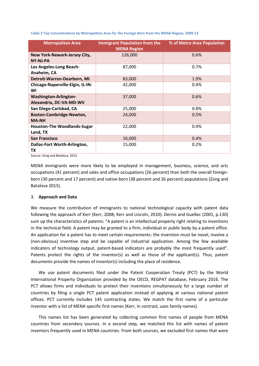| <b>Metropolitan Area</b>                                | <b>Immigrant Population from the</b><br><b>MENA Region</b> | % of Metro Area Population |
|---------------------------------------------------------|------------------------------------------------------------|----------------------------|
| <b>New York-Newark-Jersey City,</b><br>NY-NJ-PA         | 126,000                                                    | 0.6%                       |
| Los Angeles-Long Beach-<br>Anaheim, CA                  | 87,000                                                     | 0.7%                       |
| Detroit-Warren-Dearborn, MI                             | 83,000                                                     | 1.9%                       |
| Chicago-Naperville-Elgin, IL-IN-<br>WI                  | 42,000                                                     | 0.4%                       |
| <b>Washington-Arlington-</b><br>Alexandria, DC-VA-MD-WV | 37,000                                                     | 0.6%                       |
| San Diego-Carlsbad, CA                                  | 25,000                                                     | 0.8%                       |
| Boston-Cambridge-Newton,<br><b>MA-NH</b>                | 24,000                                                     | 0.5%                       |
| <b>Houston-The Woodlands-Sugar</b><br>Land, TX          | 22,000                                                     | 0.4%                       |
| <b>San Francisco</b>                                    | 16,000                                                     | 0.4%                       |
| Dallas-Fort Worth-Arlington,<br>ТX                      | 15,000                                                     | 0.2%                       |

**Table 2 Top Concentrations by Metropolitan Area for the Foreign Born from the MENA Region, 2009-13** 

Source: Zong and Batalova, 2015.

MENA immigrants were more likely to be employed in management, business, science, and arts occupations (41 percent) and sales and office occupations (26 percent) than both the overall foreignborn (30 percent and 17 percent) and native-born (38 percent and 26 percent) populations (Zong and Batalova 2015).

## 3. **Approach and Data**

We measure the contribution of immigrants to national technological capacity with patent data following the approach of Kerr (Kerr, 2008; Kerr and Lincoln, 2010). Dernis and Guellec (2001, p.130) sum up the characteristics of patents: "A patent is an intellectual property right relating to inventions in the technical field. A patent may be granted to a firm, individual or public body by a patent office. An application for a patent has to meet certain requirements: the invention must be novel, involve a (non-obvious) inventive step and be capable of industrial application. Among the few available indicators of technology output, patent-based indicators are probably the most frequently used". Patents protect the rights of the inventor(s) as well as those of the applicant(s). Thus, patent documents provide the names of inventor(s) including the place of residence.

We use patent documents filed under the Patent Cooperation Treaty (PCT) by the World International Property Organization provided by the OECD, REGPAT database, February 2016. The PCT allows firms and individuals to protect their inventions simultaneously for a large number of countries by filing a single PCT patent application instead of applying at various national patent offices. PCT currently includes 145 contracting states. We match the first name of a particular inventor with a list of MENA specific first names (Kerr, in contrast, uses family names).

This names list has been generated by collecting common first names of people from MENA countries from secondary sources. In a second step, we matched this list with names of patent inventors frequently used in MENA countries. From both sources, we excluded first names that were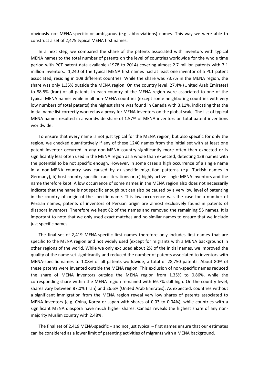obviously not MENA-specific or ambiguous (e.g. abbreviations) names. This way we were able to construct a set of 2,475 typical MENA first names.

In a next step, we compared the share of the patents associated with inventors with typical MENA names to the total number of patents on the level of countries worldwide for the whole time period with PCT patent data available (1978 to 2014) covering almost 2.7 million patents with 7.1 million inventors. 1,240 of the typical MENA first names had at least one inventor of a PCT patent associated, residing in 108 different countries. While the share was 73.7% in the MENA region, the share was only 1.35% outside the MENA region. On the country level, 27.4% (United Arab Emirates) to 88.5% (Iran) of all patents in each country of the MENA region were associated to one of the typical MENA names while in all non-MENA countries (except some neighboring countries with very low numbers of total patents) the highest share was found in Canada with 3.11%, indicating that the initial name list correctly worked as a proxy for MENA inventors on the global scale. The list of typical MENA names resulted in a worldwide share of 1.57% of MENA inventors on total patent inventions worldwide.

To ensure that every name is not just typical for the MENA region, but also specific for only the region, we checked quantitatively if any of these 1240 names from the initial set with at least one patent inventor occurred in any non-MENA country significantly more often than expected or is significantly less often used in the MENA region as a whole than expected, detecting 138 names with the potential to be not specific enough. However, in some cases a high occurrence of a single name in a non-MENA country was caused by a) specific migration patterns (e.g. Turkish names in Germany), b) host country specific transliterations or, c) highly active single MENA inventors and the name therefore kept. A low occurrence of some names in the MENA region also does not necessarily indicate that the name is not specific enough but can also be caused by a very low level of patenting in the country of origin of the specific name. This low occurrence was the case for a number of Persian names, patents of inventors of Persian origin are almost exclusively found in patents of diaspora inventors. Therefore we kept 82 of the names and removed the remaining 55 names. It is important to note that we only used exact matches and no similar names to ensure that we include just specific names.

The final set of 2,419 MENA-specific first names therefore only includes first names that are specific to the MENA region and not widely used (except for migrants with a MENA background) in other regions of the world. While we only excluded about 2% of the initial names, we improved the quality of the name set significantly and reduced the number of patents associated to inventors with MENA-specific names to 1.08% of all patents worldwide, a total of 28,750 patents. About 80% of these patents were invented outside the MENA region. This exclusion of non-specific names reduced the share of MENA inventors outside the MENA region from 1.35% to 0.86%, while the corresponding share within the MENA region remained with 69.7% still high. On the country level, shares vary between 87.0% (Iran) and 26.6% (United Arab Emirates). As expected, countries without a significant immigration from the MENA region reveal very low shares of patents associated to MENA inventors (e.g. China, Korea or Japan with shares of 0.03 to 0.04%), while countries with a significant MENA diaspora have much higher shares. Canada reveals the highest share of any nonmajority Muslim country with 2.48%.

The final set of 2,419 MENA-specific – and not just typical – first names ensure that our estimates can be considered as a lower limit of patenting activities of migrants with a MENA background.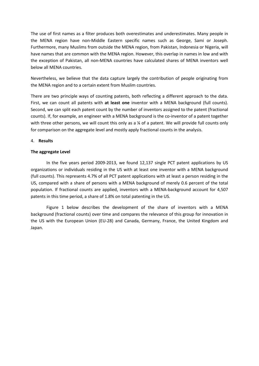The use of first names as a filter produces both overestimates and underestimates. Many people in the MENA region have non-Middle Eastern specific names such as George, Sami or Joseph. Furthermore, many Muslims from outside the MENA region, from Pakistan, Indonesia or Nigeria, will have names that are common with the MENA region. However, this overlap in names in low and with the exception of Pakistan, all non-MENA countries have calculated shares of MENA inventors well below all MENA countries.

Nevertheless, we believe that the data capture largely the contribution of people originating from the MENA region and to a certain extent from Muslim countries.

There are two principle ways of counting patents, both reflecting a different approach to the data. First, we can count all patents with **at least one** inventor with a MENA background (full counts). Second, we can split each patent count by the number of inventors assigned to the patent (fractional counts). If, for example, an engineer with a MENA background is the co-inventor of a patent together with three other persons, we will count this only as a  $\frac{1}{4}$  of a patent. We will provide full counts only for comparison on the aggregate level and mostly apply fractional counts in the analysis.

## 4. **Results**

## **The aggregate Level**

In the five years period 2009-2013, we found 12,137 single PCT patent applications by US organizations or individuals residing in the US with at least one inventor with a MENA background (full counts). This represents 4.7% of all PCT patent applications with at least a person residing in the US, compared with a share of persons with a MENA background of merely 0.6 percent of the total population. If fractional counts are applied, inventors with a MENA-background account for 4,507 patents in this time period, a share of 1.8% on total patenting in the US.

Figure 1 below describes the development of the share of inventors with a MENA background (fractional counts) over time and compares the relevance of this group for innovation in the US with the European Union (EU-28) and Canada, Germany, France, the United Kingdom and Japan.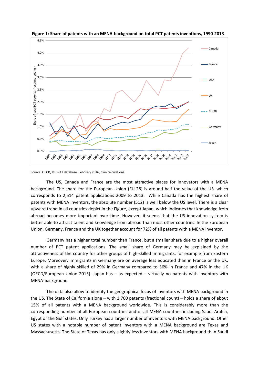

**Figure 1: Share of patents with an MENA-background on total PCT patents inventions, 1990-2013**

Source: OECD, REGPAT database, February 2016, own calculations.

The US, Canada and France are the most attractive places for innovators with a MENA background. The share for the European Union (EU-28) is around half the value of the US, which corresponds to 2,514 patent applications 2009 to 2013. While Canada has the highest share of patents with MENA inventors, the absolute number (512) is well below the US level. There is a clear upward trend in all countries depict in the Figure, except Japan, which indicates that knowledge from abroad becomes more important over time. However, it seems that the US innovation system is better able to attract talent and knowledge from abroad than most other countries. In the European Union, Germany, France and the UK together account for 72% of all patents with a MENA inventor.

Germany has a higher total number than France, but a smaller share due to a higher overall number of PCT patent applications. The small share of Germany may be explained by the attractiveness of the country for other groups of high-skilled immigrants, for example from Eastern Europe. Moreover, immigrants in Germany are on average less educated than in France or the UK, with a share of highly skilled of 29% in Germany compared to 36% in France and 47% in the UK (OECD/European Union 2015). Japan has – as expected – virtually no patents with inventors with MENA-background.

The data also allow to identify the geographical focus of inventors with MENA background in the US. The State of California alone – with 1,760 patents (fractional count) – holds a share of about 15% of all patents with a MENA background worldwide. This is considerably more than the corresponding number of all European countries and of all MENA countries including Saudi Arabia, Egypt or the Gulf states. Only Turkey has a larger number of inventors with MENA background. Other US states with a notable number of patent inventors with a MENA background are Texas and Massachusetts. The State of Texas has only slightly less inventors with MENA background than Saudi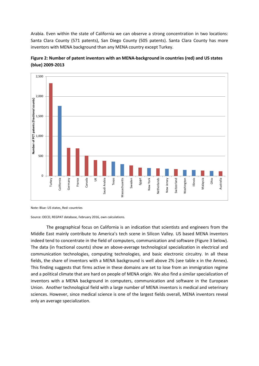Arabia. Even within the state of California we can observe a strong concentration in two locations: Santa Clara County (571 patents), San Diego County (505 patents). Santa Clara County has more inventors with MENA background than any MENA country except Turkey.





Note: Blue: US states, Red: countries

Source: OECD, REGPAT database, February 2016, own calculations.

The geographical focus on California is an indication that scientists and engineers from the Middle East mainly contribute to America's tech scene in Silicon Valley. US based MENA inventors indeed tend to concentrate in the field of computers, communication and software (Figure 3 below). The data (in fractional counts) show an above-average technological specialization in electrical and communication technologies, computing technologies, and basic electronic circuitry. In all these fields, the share of inventors with a MENA background is well above 2% (see table x in the Annex). This finding suggests that firms active in these domains are set to lose from an immigration regime and a political climate that are hard on people of MENA origin. We also find a similar specialization of inventors with a MENA background in computers, communication and software in the European Union. Another technological field with a large number of MENA inventors is medical and veterinary sciences. However, since medical science is one of the largest fields overall, MENA inventors reveal only an average specialization.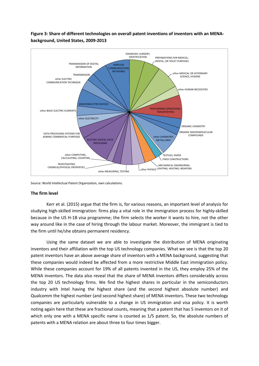# **Figure 3: Share of different technologies on overall patent inventions of inventors with an MENAbackground, United States, 2009-2013**



Source: World Intellectual Patent Organization, own calculations.

### **The firm level**

Kerr et al. (2015) argue that the firm is, for various reasons, an important level of analysis for studying high-skilled immigration: firms play a vital role in the immigration process for highly-skilled because in the US H-1B visa programme; the firm selects the worker it wants to hire, not the other way around like in the case of hiring through the labour market. Moreover, the immigrant is tied to the firm until he/she obtains permanent residency.

Using the same dataset we are able to investigate the distribution of MENA originating inventors and their affiliation with the top US technology companies. What we see is that the top 20 patent inventors have an above average share of inventors with a MENA background, suggesting that these companies would indeed be affected from a more restrictive Middle East immigration policy. While these companies account for 19% of all patents invented in the US, they employ 25% of the MENA inventors. The data also reveal that the share of MENA inventors differs considerably across the top 20 US technology firms. We find the highest shares in particular in the semiconductors industry with Intel having the highest share (and the second highest absolute number) and Qualcomm the highest number (and second highest share) of MENA inventors. These two technology companies are particularly vulnerable to a change in US immigration and visa policy. It is worth noting again here that these are fractional counts, meaning that a patent that has 5 inventors on it of which only one with a MENA specific name is counted as 1/5 patent. So, the absolute numbers of patents with a MENA relation are about three to four times bigger.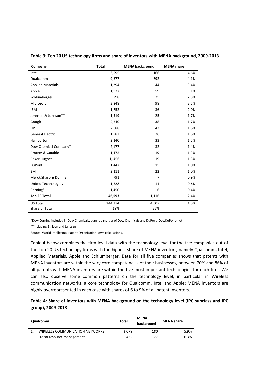| Company                    | <b>Total</b> | <b>MENA background</b> | <b>MENA</b> share |
|----------------------------|--------------|------------------------|-------------------|
| Intel                      | 3,595        | 166                    | 4.6%              |
| Qualcomm                   | 9,677        | 392                    | 4.1%              |
| <b>Applied Materials</b>   | 1,294        | 44                     | 3.4%              |
| Apple                      | 1,927        | 59                     | 3.1%              |
| Schlumberger               | 898          | 25                     | 2.8%              |
| Microsoft                  | 3,848        | 98                     | 2.5%              |
| <b>IBM</b>                 | 1,752        | 36                     | 2.0%              |
| Johnson & Johnson**        | 1,519        | 25                     | 1.7%              |
| Google                     | 2,240        | 38                     | 1.7%              |
| HP                         | 2,688        | 43                     | 1.6%              |
| <b>General Electric</b>    | 1,582        | 26                     | 1.6%              |
| Halliburton                | 2,240        | 33                     | 1.5%              |
| Dow Chemical Company*      | 2,177        | 32                     | 1.4%              |
| Procter & Gamble           | 1,472        | 19                     | 1.3%              |
| <b>Baker Hughes</b>        | 1,,456       | 19                     | 1.3%              |
| <b>DuPont</b>              | 1,447        | 15                     | 1.0%              |
| 3M                         | 2,211        | 22                     | 1.0%              |
| Merck Sharp & Dohme        | 791          | $\overline{7}$         | 0.9%              |
| <b>United Technologies</b> | 1,828        | 11                     | 0.6%              |
| Corning*                   | 1,450        | 6                      | 0.4%              |
| Top 20 Total               | 46,093       | 1,116                  | 2.4%              |
| <b>US Total</b>            | 244,174      | 4,507                  | 1.8%              |
| Share of Total             | 19%          | 25%                    |                   |

### **Table 3: Top 20 US technology firms and share of inventors with MENA background, 2009-2013**

\*Dow Corning included in Dow Chemicals, planned merger of Dow Chemicals and DuPont (DowDuPont) not

\*\*including Ethicon and Janssen

Source: World Intellectual Patent Organization, own calculations.

Table 4 below combines the firm level data with the technology level for the five companies out of the Top 20 US technology firms with the highest share of MENA inventors, namely Qualcomm, Intel, Applied Materials, Apple and Schlumberger. Data for all five companies shows that patents with MENA inventors are within the very core competencies of their businesses, between 70% and 86% of all patents with MENA inventors are within the five most important technologies for each firm. We can also observe some common patterns on the technology level, in particular in Wireless communication networks, a core technology for Qualcomm, Intel and Apple; MENA inventors are highly overrepresented in each case with shares of 6 to 9% of all patent inventors.

**Table 4: Share of inventors with MENA background on the technology level (IPC subclass and IPC group), 2009-2013**

| Qualcomm                        | <b>Total</b> | MENA<br>background | <b>MENA share</b> |
|---------------------------------|--------------|--------------------|-------------------|
| WIRELESS COMMUNICATION NETWORKS | 3.079        | 180                | 5.9%              |
| 1.1 Local resource management   | 422          | 27                 | 6.3%              |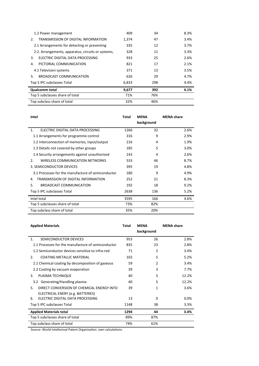| 1.2 Power management                                  | 409   | 34  | 8.3% |
|-------------------------------------------------------|-------|-----|------|
| TRANSMISSION OF DIGITAL INFORMATION<br>2 <sub>1</sub> | 1,374 | 47  | 3.4% |
| 2.1 Arrangements for detecting or preventing          | 335   | 12  | 3.7% |
| 2.2. Arrangements, apparatus, circuits or systems,    | 328   | 11  | 3.3% |
| 3.<br>ELECTRIC DIGITAL DATA PROCESSING                | 933   | 25  | 2.6% |
| PICTORIAL COMMUNICATION<br>4.                         | 821   | 17  | 2.1% |
| 4.1 Television systems                                | 371   | 13  | 3.5% |
| BROADCAST COMMUNICATION<br>5.                         | 626   | 29  | 4.7% |
| Top 5 IPC subclasses Total                            | 6,833 | 298 | 4.4% |
| <b>Qualcomm total</b>                                 | 9,677 | 392 | 4.1% |
| Top 5 subclasses share of total                       | 71%   | 76% |      |
| Top subclass share of total                           | 32%   | 46% |      |

| Intel                                                      | <b>Total</b> | MENA<br>background | <b>MENA</b> share |
|------------------------------------------------------------|--------------|--------------------|-------------------|
| ELECTRIC DIGITAL DATA PROCESSING<br>1 <sub>1</sub>         | 1266         | 32                 | 2.6%              |
| 1.1 Arrangements for programme control                     | 316          | 9                  | 2.9%              |
| 1.2 Interconnection of memories, input/output              | 216          | 4                  | 1.9%              |
| 1.3 Details not covered by other groups                    | 185          | 5                  | 3.0%              |
| 1.4 Security arrangements against unauthorised             | 143          | 4                  | 2.6%              |
| $\mathfrak{D}$ .<br><b>WIRELESS COMMUNICATION NETWORKS</b> | 533          | 46                 | 8.7%              |
| 3. SEMICONDUCTOR DEVICES                                   | 395          | 19                 | 4.8%              |
| 3.1 Processes for the manufacture of semiconductor         | 180          | 9                  | 4.9%              |
| TRANSMISSION OF DIGITAL INFORMATION<br>4.                  | 252          | 21                 | 8.3%              |
| 5.<br>BROADCAST COMMUNICATION                              | 192          | 18                 | 9.2%              |
| Top 5 IPC subclasses Total                                 | 2638         | 136                | 5.2%              |
| Intel total                                                | 3595         | 166                | 4.6%              |
| Top 5 subclasses share of total                            | 73%          | 82%                |                   |
| Top subclass share of total                                | 35%          | 20%                |                   |

| <b>Applied Materials</b>                           | Total | <b>MENA</b><br>background | <b>MENA</b> share |
|----------------------------------------------------|-------|---------------------------|-------------------|
| SEMICONDUCTOR DEVICES<br>1.                        | 953   | 26                        | 2.8%              |
| 1.1 Processes for the manufacture of semiconductor | 835   | 23                        | 2.8%              |
| 1.2 Semiconductor devices sensitive to infra-red   | 71    | 2                         | 3.4%              |
| <b>COATING METALLIC MATERIAL</b><br>2.5            | 102   | 5                         | 5.2%              |
| 2.1 Chemical coating by decomposition of gaseous   | 59    | 2                         | 3.4%              |
| 2.2 Coating by vacuum evaporation                  | 39    | 3                         | 7.7%              |
| PLASMA TECHNIQUE<br>3.                             | 40    | 5                         | 12.2%             |
| 3.2 Generating/Handling plasma                     | 40    | 5                         | 12.2%             |
| DIRECT CONVERSION OF CHEMICAL ENERGY INTO<br>5.    | 39    | 1                         | 3.6%              |
| ELECTRICAL ENERY (e.g. BATTERIES)                  |       |                           |                   |
| ELECTRIC DIGITAL DATA PROCESSING<br>6.             | 13    | $\Omega$                  | 0.0%              |
| Top 5 IPC subclasses Total                         | 1148  | 38                        | 3.3%              |
| <b>Applied Materials total</b>                     | 1294  | 44                        | 3.4%              |
| Top 5 subclasses share of total                    | 89%   | 87%                       |                   |
| Top subclass share of total                        | 74%   | 61%                       |                   |

Source: World Intellectual Patent Organization. own calculations.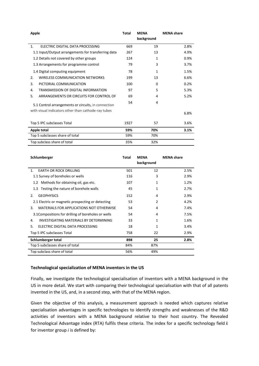| Apple                                               | Total | <b>MENA</b> | <b>MENA</b> share |
|-----------------------------------------------------|-------|-------------|-------------------|
|                                                     |       | background  |                   |
| 1.<br>ELECTRIC DIGITAL DATA PROCESSING              | 669   | 19          | 2.8%              |
| 1.1 Input/Output arrangements for transferring data | 267   | 13          | 4.9%              |
| 1.2 Details not covered by other groups             | 124   | 1           | 0.9%              |
| 1.3 Arrangements for programme control              | 79    | 3           | 3.7%              |
| 1.4 Digital computing equipment                     | 78    | 1           | 1.5%              |
| <b>WIRELESS COMMUNICATION NETWORKS</b><br>2.        | 199   | 13          | 6.6%              |
| 3.<br>PICTORIAL COMMUNICATION                       | 100   | $\Omega$    | 0.2%              |
| TRANSMISSION OF DIGITAL INFORMATION<br>4.           | 97    | 5           | 5.3%              |
| 5.<br>ARRANGEMENTS OR CIRCUITS FOR CONTROL OF       | 69    | 4           | 5.2%              |
| 5.1 Control arrangements or circuits, in connection | 54    | 4           |                   |
| with visual indicators other than cathode-ray tubes |       |             | 6.8%              |
| Top 5 IPC subclasses Total                          | 1927  | 57          | 3.6%              |
| Apple total                                         | 59%   | 70%         | 3.1%              |
| Top 5 subclasses share of total                     | 59%   | 70%         |                   |
| Top subclass share of total                         | 35%   | 32%         |                   |

| Schlumberger                                            | <b>MENA</b><br><b>Total</b><br>background |     | <b>MENA</b> share |
|---------------------------------------------------------|-------------------------------------------|-----|-------------------|
|                                                         |                                           |     |                   |
| <b>EARTH OR ROCK DRILLING</b><br>$\mathbf{1}$ .         | 501                                       | 12  | 2.5%              |
| 1.1 Survey of boreholes or wells                        | 116                                       | 3   | 2.9%              |
| Methods for obtaining oil, gas etc.<br>1.2 <sub>2</sub> | 107                                       | 1   | 1.2%              |
| Testing the nature of borehole walls<br>1.3             | 45                                        | 1   | 2.7%              |
| <b>GEOPHYSICS</b><br>$\mathcal{P}_{\cdot}$              | 152                                       | 4   | 2.9%              |
| 2.1 Electric or magnetic prospecting or detecting       | 53                                        | 2   | 4.2%              |
| <b>MATERIALS FOR APPLICATIONS NOT OTHERWISE</b><br>3.   | 54                                        | 4   | 7.4%              |
| 3.1 Compositions for drilling of boreholes or wells     | 54                                        | 4   | 7.5%              |
| INVESTIGATING MATERIALS BY DETERMINING<br>4.            | 33                                        | 1   | 1.6%              |
| ELECTRIC DIGITAL DATA PROCESSING<br>5.                  | 18                                        | 1   | 3.4%              |
| Top 5 IPC subclasses Total                              | 758                                       | 22  | 2.9%              |
| Schlumberger total                                      | 898                                       | 25  | 2.8%              |
| Top 5 subclasses share of total                         | 84%                                       | 87% |                   |
| Top subclass share of total                             | 56%                                       | 49% |                   |

## **Technological specialization of MENA inventors in the US**

Finally, we investigate the technological specialisation of inventors with a MENA background in the US in more detail. We start with comparing their technological specialisation with that of all patents invented in the US, and, in a second step, with that of the MENA region.

Given the objective of this analysis, a measurement approach is needed which captures relative specialisation advantages in specific technologies to identify strengths and weaknesses of the R&D activities of inventors with a MENA background relative to their host country. The Revealed Technological Advantage index (RTA) fulfils these criteria. The index for a specific technology field *k* for inventor group *i* is defined by: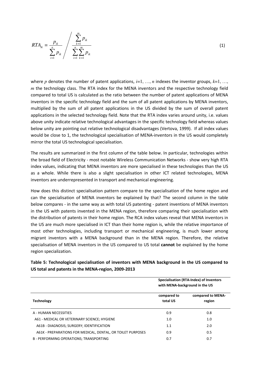$$
RTA_{ik} = \frac{p_{ik}}{\sum_{i=1}^{n} p_{ik}} / \frac{\sum_{k=1}^{m} p_{ik}}{\sum_{i=1}^{n} \sum_{k=1}^{m} p_{ik}}
$$

where *p* denotes the number of patent applications,  $i=1, ..., n$  indexes the inventor groups,  $k=1, ...,$ *m* the technology class. The RTA index for the MENA inventors and the respective technology field compared to total US is calculated as the ratio between the number of patent applications of MENA inventors in the specific technology field and the sum of all patent applications by MENA inventors, multiplied by the sum of all patent applications in the US divided by the sum of overall patent applications in the selected technology field. Note that the RTA index varies around unity, i.e. values above unity indicate relative technological advantages in the specific technology field whereas values below unity are pointing out relative technological disadvantages (Vertova, 1999). If all index values would be close to 1, the technological specialisation of MENA-inventors in the US would completely mirror the total US technological specialisation.

The results are summarized in the first column of the table below. In particular, technologies within the broad field of Electricity - most notable Wireless Communication Networks - show very high RTA index values, indicating that MENA inventors are more specialised in these technologies than the US as a whole. While there is also a slight specialisation in other ICT related technologies, MENA inventors are underrepresented in transport and mechanical engineering.

How does this distinct specialisation pattern compare to the specialisation of the home region and can the specialisation of MENA inventors be explained by that? The second column in the table below compares - in the same way as with total US patenting - patent inventions of MENA inventors in the US with patents invented in the MENA region, therefore comparing their specialisation with the distribution of patents in their home region. The RCA index values reveal that MENA inventors in the US are much more specialised in ICT than their home region is, while the relative importance of most other technologies, including transport or mechanical engineering, is much lower among migrant inventors with a MENA background than in the MENA region. Therefore, the relative specialisation of MENA inventors in the US compared to US total **cannot** be explained by the home region specialization.

|                                                             | Specialisation (RTA-Index) of Inventors<br>with MENA-background in the US |                             |
|-------------------------------------------------------------|---------------------------------------------------------------------------|-----------------------------|
| <b>Technology</b>                                           | compared to<br>total US                                                   | compared to MENA-<br>region |
| A - HUMAN NECESSITIES                                       | 0.9                                                                       | 0.8                         |
| A61 - MEDICAL OR VETERINARY SCIENCE; HYGIENE                | 1.0                                                                       | 1.0                         |
| A61B - DIAGNOSIS; SURGERY; IDENTIFICATION                   | 1.1                                                                       | 2.0                         |
| A61K - PREPARATIONS FOR MEDICAL, DENTAL, OR TOILET PURPOSES | 0.9                                                                       | 0.5                         |
| B - PERFORMING OPERATIONS: TRANSPORTING                     | 0.7                                                                       | 0.7                         |

# **Table 5: Technological specialisation of inventors with MENA background in the US compared to US total and patents in the MENA-region, 2009-2013**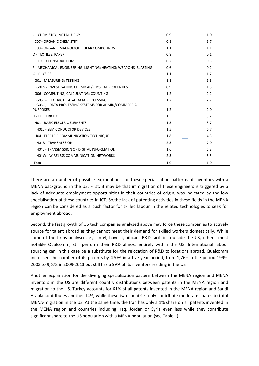| C - CHEMISTRY; METALLURGY                                              | 0.9 | 1.0 |
|------------------------------------------------------------------------|-----|-----|
| <b>CO7 - ORGANIC CHEMISTRY</b>                                         | 0.8 | 1.7 |
| CO8 - ORGANIC MACROMOLECULAR COMPOUNDS                                 | 1.1 | 1.1 |
| D - TEXTILES; PAPER                                                    | 0.8 | 0.1 |
| E - FIXED CONSTRUCTIONS                                                | 0.7 | 0.3 |
| F - MECHANICAL ENGINEERING; LIGHTING; HEATING; WEAPONS; BLASTING       | 0.6 | 0.2 |
| <b>G - PHYSICS</b>                                                     | 1.1 | 1.7 |
| G01 - MEASURING; TESTING                                               | 1.1 | 1.3 |
| G01N - INVESTIGATING CHEMICAL/PHYSICAL PROPERTIES                      | 0.9 | 1.5 |
| G06 - COMPUTING; CALCULATING; COUNTING                                 | 1.2 | 2.2 |
| GO6F - ELECTRIC DIGITAL DATA PROCESSING                                | 1.2 | 2.7 |
| G06Q - DATA PROCESSING SYSTEMS FOR ADMIN/COMMERCIAL<br><b>PURPOSES</b> | 1.2 | 2.0 |
| <b>H - ELECTRICITY</b>                                                 | 1.5 | 3.2 |
| H01 - BASIC ELECTRIC ELEMENTS                                          | 1.3 | 3.7 |
| <b>HO1L - SEMICONDUCTOR DEVICES</b>                                    | 1.5 | 6.7 |
| H04 - ELECTRIC COMMUNICATION TECHNIQUE                                 | 1.8 | 4.3 |
| <b>H04B - TRANSMISSION</b>                                             | 2.3 | 7.0 |
| <b>H04L - TRANSMISSION OF DIGITAL INFORMATION</b>                      | 1.6 | 5.3 |
| <b>H04W - WIRELESS COMMUNICATION NETWORKS</b>                          | 2.5 | 6.5 |
| Total                                                                  | 1.0 | 1.0 |

There are a number of possible explanations for these specialisation patterns of inventors with a MENA background in the US. First, it may be that immigration of these engineers is triggered by a lack of adequate employment opportunities in their countries of origin, was indicated by the low specialisation of these countries in ICT. So,the lack of patenting activities in these fields in the MENA region can be considered as a push factor for skilled labour in the related technologies to seek for employment abroad.

Second, the fast growth of US tech companies analyzed above may force these companies to actively source for talent abroad as they cannot meet their demand for skilled workers domestically. While some of the firms analysed, e.g. Intel, have significant R&D facilities outside the US, others, most notable Qualcomm, still perform their R&D almost entirely within the US. International labour sourcing can in this case be a substitute for the relocation of R&D to locations abroad. Qualcomm increased the number of its patents by 470% in a five-year period, from 1,769 in the period 1999- 2003 to 9,678 in 2009-2013 but still has a 99% of its inventors residing in the US.

Another explanation for the diverging specialisation pattern between the MENA region and MENA inventors in the US are different country distributions between patents in the MENA region and migration to the US. Turkey accounts for 61% of all patents invented in the MENA region and Saudi Arabia contributes another 14%, while these two countries only contribute moderate shares to total MENA-migration in the US. At the same time, the Iran has only a 1% share on all patents invented in the MENA region and countries including Iraq, Jordan or Syria even less while they contribute significant share to the US population with a MENA population (see Table 1).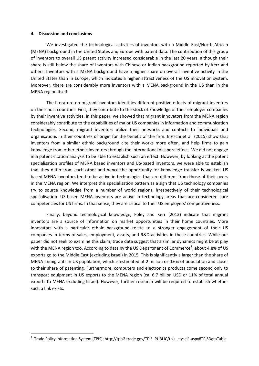### **4. Discussion and conclusions**

We investigated the technological activities of inventors with a Middle East/North African (MENA) background in the United States and Europe with patent data. The contribution of this group of inventors to overall US patent activity increased considerable in the last 20 years, although their share is still below the share of inventors with Chinese or Indian background reported by Kerr and others. Inventors with a MENA background have a higher share on overall inventive activity in the United States than in Europe, which indicates a higher attractiveness of the US innovation system. Moreover, there are considerably more inventors with a MENA background in the US than in the MENA region itself.

The literature on migrant inventors identifies different positive effects of migrant inventors on their host countries. First, they contribute to the stock of knowledge of their employer companies by their inventive activities. In this paper, we showed that migrant innovators from the MENA region considerably contribute to the capabilities of major US companies in information and communication technologies. Second, migrant inventors utilize their networks and contacts to individuals and organisations in their countries of origin for the benefit of the firm. Breschi et al. (2015) show that inventors from a similar ethnic background cite their works more often, and help firms to gain knowledge from other ethnic inventors through the international diaspora effect. We did not engage in a patent citation analysis to be able to establish such an effect. However, by looking at the patent specialisation profiles of MENA based inventors and US-based inventors, we were able to establish that they differ from each other and hence the opportunity for knowledge transfer is weaker. US based MENA inventors tend to be active in technologies that are different from those of their peers in the MENA region. We interpret this specialisation pattern as a sign that US technology companies try to source knowledge from a number of world regions, irrespectively of their technological specialisation. US-based MENA inventors are active in technology areas that are considered core competencies for US firms. In that sense, they are critical to their US employers' competitiveness.

Finally, beyond technological knowledge, Foley and Kerr (2013) indicate that migrant inventors are a source of information on market opportunities in their home countries. More innovators with a particular ethnic background relate to a stronger engagement of their US companies in terms of sales, employment, assets, and R&D activities in these countries. While our paper did not seek to examine this claim, trade data suggest that a similar dynamics might be at play with the MENA region too. According to data by the US Department of Commerce<sup>[1](#page-16-0)</sup>, about 4.8% of US exports go to the Middle East (excluding Israel) in 2015. This is significantly a larger than the share of MENA immigrants in US population, which is estimated at 2 million or 0.6% of population and closer to their share of patenting. Furthermore, computers and electronics products come second only to transport equipment in US exports to the MENA region (ca. 6.7 billion USD or 11% of total annual exports to MENA excluding Israel). However, further research will be required to establish whether such a link exists.

<span id="page-16-0"></span><sup>&</sup>lt;sup>1</sup> Trade Policy Information System (TPIS): http://tpis2.trade.gov/TPIS\_PUBLIC/tpis\_ctysel1.aspx#TPISDataTable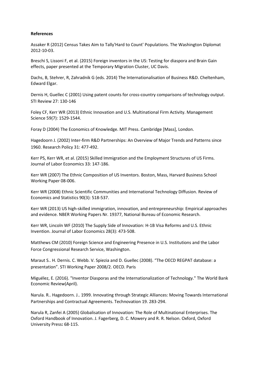## **References**

Assaker R (2012) Census Takes Aim to Tally'Hard to Count' Populations. The Washington Diplomat 2012-10-03.

Breschi S, Lissoni F, et al. (2015) Foreign inventors in the US: Testing for diaspora and Brain Gain effects, paper presented at the Temporary Migration Cluster, UC Davis.

Dachs, B, Stehrer, R, Zahradnik G (eds. 2014) The Internationalisation of Business R&D. Cheltenham, Edward Elgar.

Dernis H, Guellec C (2001) Using patent counts for cross-country comparisons of technology output. STI Review 27: 130-146

Foley CF, Kerr WR (2013) Ethnic Innovation and U.S. Multinational Firm Activity. Management Science 59(7): 1529-1544.

Foray D (2004) The Economics of Knowledge. MIT Press. Cambridge [Mass], London.

Hagedoorn J. (2002) Inter-firm R&D Partnerships: An Overview of Major Trends and Patterns since 1960. Research Policy 31: 477-492.

Kerr PS, Kerr WR, et al. (2015) Skilled Immigration and the Employment Structures of US Firms. Journal of Labor Economics 33: 147-186.

Kerr WR (2007) The Ethnic Composition of US Inventors. Boston, Mass, Harvard Business School Working Paper 08-006.

Kerr WR (2008) Ethnic Scientific Communities and International Technology Diffusion. Review of Economics and Statistics 90(3): 518-537.

Kerr WR (2013) US high-skilled immigration, innovation, and entrepreneurship: Empirical approaches and evidence. NBER Working Papers Nr. 19377, National Bureau of Economic Research.

Kerr WR, Lincoln WF (2010) The Supply Side of Innovation: H-1B Visa Reforms and U.S. Ethnic Invention. Journal of Labor Economics 28(3): 473-508.

Matthews CM (2010) Foreign Science and Engineering Presence in U.S. Institutions and the Labor Force Congressional Research Service, Washington.

Maraut S.. H. Dernis. C. Webb. V. Spiezia and D. Guellec (2008). "The OECD REGPAT database: a presentation". STI Working Paper 2008/2. OECD. Paris

Miguélez, E. (2016). "Inventor Diasporas and the Internationalization of Technology." The World Bank Economic Review(April).

Narula. R.. Hagedoorn. J.. 1999. Innovating through Strategic Alliances: Moving Towards International Partnerships and Contractual Agreements. Technovation 19. 283-294.

Narula R, Zanfei A (2005) Globalisation of Innovation: The Role of Multinational Enterprises. The Oxford Handbook of Innovation. J. Fagerberg, D. C. Mowery and R. R. Nelson. Oxford, Oxford University Press**:** 68-115.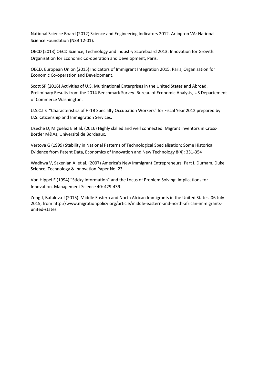National Science Board (2012) Science and Engineering Indicators 2012. Arlington VA: National Science Foundation (NSB 12-01).

OECD (2013) OECD Science, Technology and Industry Scoreboard 2013. Innovation for Growth. Organisation for Economic Co-operation and Development, Paris.

OECD, European Union (2015) Indicators of Immigrant Integration 2015. Paris, Organisation for Economic Co-operation and Development.

Scott SP (2016) Activities of U.S. Multinational Enterprises in the United States and Abroad. Preliminary Results from the 2014 Benchmark Survey. Bureau of Economic Analysis, US Departement of Commerce Washington.

U.S.C.I.S "Characteristics of H-1B Specialty Occupation Workers" for Fiscal Year 2012 prepared by U.S. Citizenship and Immigration Services.

Useche D, Miguelez E et al. (2016) Highly skilled and well connected: Migrant inventors in Cross-Border M&As, Université de Bordeaux.

Vertova G (1999) Stability in National Patterns of Technological Specialisation: Some Historical Evidence from Patent Data, Economics of Innovation and New Technology 8(4): 331-354

Wadhwa V, Saxenian A, et al. (2007) America's New Immigrant Entrepreneurs: Part I. Durham, Duke Science, Technology & Innovation Paper No. 23.

Von Hippel E (1994) "Sticky Information" and the Locus of Problem Solving: Implications for Innovation. Management Science 40: 429-439.

Zong J, Batalova J (2015) Middle Eastern and North African Immigrants in the United States. 06 July 2015, from http://www.migrationpolicy.org/article/middle-eastern-and-north-african-immigrantsunited-states.